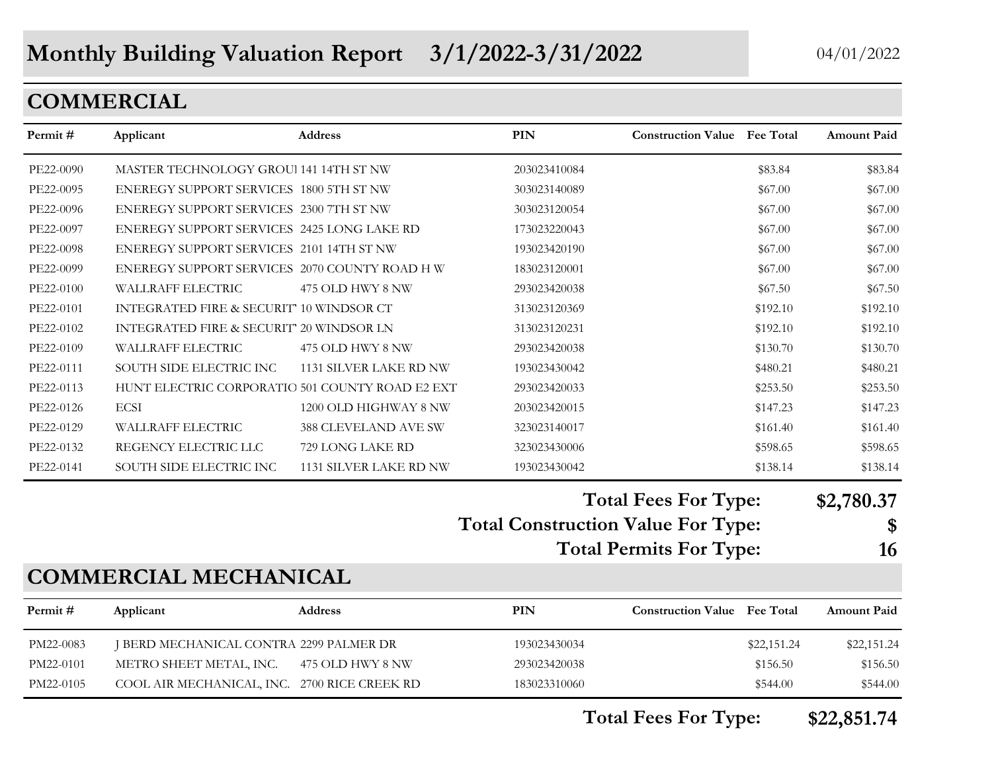## **COMMERCIAL**

| Permit#   | Applicant                                       | Address                | <b>PIN</b>                                | <b>Construction Value Fee Total</b> |             | Amount Paid        |
|-----------|-------------------------------------------------|------------------------|-------------------------------------------|-------------------------------------|-------------|--------------------|
| PE22-0090 | MASTER TECHNOLOGY GROUI 141 14TH ST NW          |                        | 203023410084                              |                                     | \$83.84     | \$83.84            |
| PE22-0095 | ENEREGY SUPPORT SERVICES 1800 5TH ST NW         |                        | 303023140089                              |                                     | \$67.00     | \$67.00            |
| PE22-0096 | ENEREGY SUPPORT SERVICES 2300 7TH ST NW         |                        | 303023120054                              |                                     | \$67.00     | \$67.00            |
| PE22-0097 | ENEREGY SUPPORT SERVICES 2425 LONG LAKE RD      |                        | 173023220043                              |                                     | \$67.00     | \$67.00            |
| PE22-0098 | ENEREGY SUPPORT SERVICES 2101 14TH ST NW        |                        | 193023420190                              |                                     | \$67.00     | \$67.00            |
| PE22-0099 | ENEREGY SUPPORT SERVICES 2070 COUNTY ROAD H W   |                        | 183023120001                              |                                     | \$67.00     | \$67.00            |
| PE22-0100 | WALLRAFF ELECTRIC                               | 475 OLD HWY 8 NW       | 293023420038                              |                                     | \$67.50     | \$67.50            |
| PE22-0101 | INTEGRATED FIRE & SECURIT' 10 WINDSOR CT        |                        | 313023120369                              |                                     | \$192.10    | \$192.10           |
| PE22-0102 | INTEGRATED FIRE & SECURIT" 20 WINDSOR LN        |                        | 313023120231                              |                                     | \$192.10    | \$192.10           |
| PE22-0109 | WALLRAFF ELECTRIC                               | 475 OLD HWY 8 NW       | 293023420038                              |                                     | \$130.70    | \$130.70           |
| PE22-0111 | SOUTH SIDE ELECTRIC INC                         | 1131 SILVER LAKE RD NW | 193023430042                              |                                     | \$480.21    | \$480.21           |
| PE22-0113 | HUNT ELECTRIC CORPORATIO 501 COUNTY ROAD E2 EXT |                        | 293023420033                              |                                     | \$253.50    | \$253.50           |
| PE22-0126 | <b>ECSI</b>                                     | 1200 OLD HIGHWAY 8 NW  | 203023420015                              |                                     | \$147.23    | \$147.23           |
| PE22-0129 | WALLRAFF ELECTRIC                               | 388 CLEVELAND AVE SW   | 323023140017                              |                                     | \$161.40    | \$161.40           |
| PE22-0132 | REGENCY ELECTRIC LLC                            | 729 LONG LAKE RD       | 323023430006                              |                                     | \$598.65    | \$598.65           |
| PE22-0141 | SOUTH SIDE ELECTRIC INC                         | 1131 SILVER LAKE RD NW | 193023430042                              |                                     | \$138.14    | \$138.14           |
|           |                                                 |                        |                                           | <b>Total Fees For Type:</b>         |             | \$2,780.37         |
|           |                                                 |                        | <b>Total Construction Value For Type:</b> |                                     |             | \$                 |
|           |                                                 |                        |                                           | <b>Total Permits For Type:</b>      |             | 16                 |
|           | <b>COMMERCIAL MECHANICAL</b>                    |                        |                                           |                                     |             |                    |
| Permit#   | Applicant                                       | <b>Address</b>         | PIN                                       | <b>Construction Value Fee Total</b> |             | <b>Amount Paid</b> |
| PM22-0083 | J BERD MECHANICAL CONTRA 2299 PALMER DR         |                        | 193023430034                              |                                     | \$22,151.24 | \$22,151.24        |
| PM22-0101 | METRO SHEET METAL, INC.                         | 475 OLD HWY 8 NW       | 293023420038                              |                                     | \$156.50    | \$156.50           |
| PM22-0105 | COOL AIR MECHANICAL, INC. 2700 RICE CREEK RD    |                        | 183023310060                              |                                     | \$544.00    | \$544.00           |

**Total Fees For Type: \$22,851.74**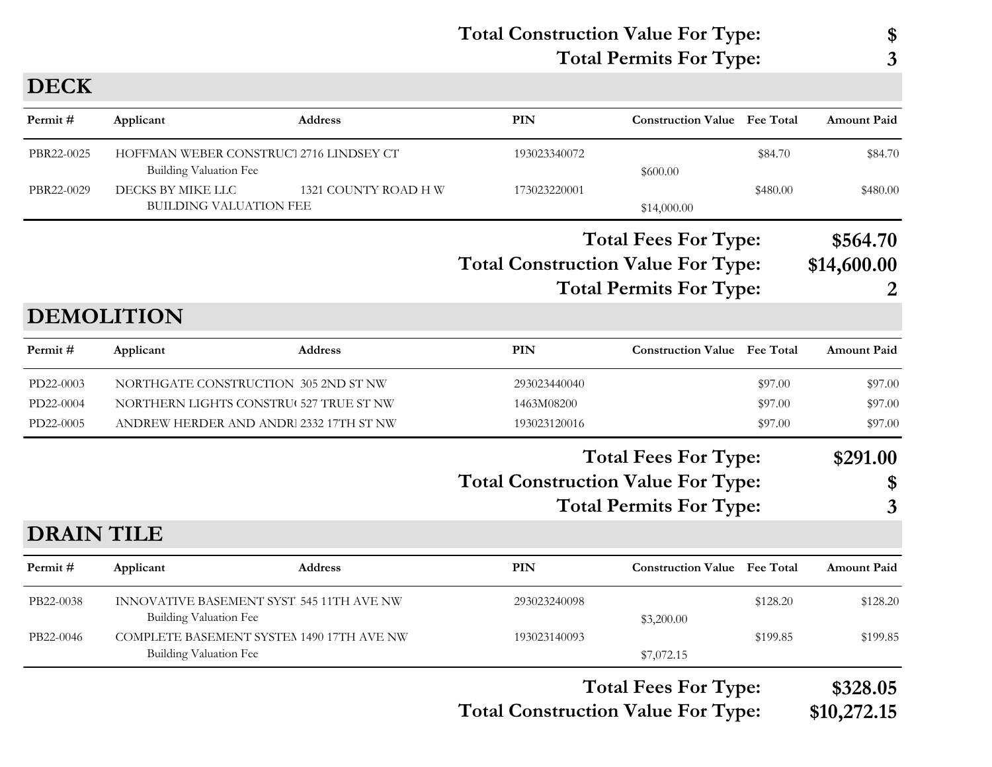**Total Construction Value For Type: \$ Total Permits For Type: 3**

**DECK**

| Amount Paid        |          | <b>Construction Value Fee Total</b> | <b>PIN</b>                                | <b>Address</b>       | Applicant                                                                  | Permit#           |
|--------------------|----------|-------------------------------------|-------------------------------------------|----------------------|----------------------------------------------------------------------------|-------------------|
| \$84.70            | \$84.70  | \$600.00                            | 193023340072                              |                      | HOFFMAN WEBER CONSTRUCT 2716 LINDSEY CT<br><b>Building Valuation Fee</b>   | PBR22-0025        |
| \$480.00           | \$480.00 | \$14,000.00                         | 173023220001                              | 1321 COUNTY ROAD H W | DECKS BY MIKE LLC<br><b>BUILDING VALUATION FEE</b>                         | PBR22-0029        |
| \$564.70           |          | <b>Total Fees For Type:</b>         |                                           |                      |                                                                            |                   |
| \$14,600.00        |          |                                     | <b>Total Construction Value For Type:</b> |                      |                                                                            |                   |
| 2                  |          | <b>Total Permits For Type:</b>      |                                           |                      |                                                                            |                   |
|                    |          |                                     |                                           |                      | <b>DEMOLITION</b>                                                          |                   |
| <b>Amount Paid</b> |          | <b>Construction Value Fee Total</b> | <b>PIN</b>                                | <b>Address</b>       | Applicant                                                                  | Permit#           |
| \$97.00            | \$97.00  |                                     | 293023440040                              |                      | NORTHGATE CONSTRUCTION 305 2ND ST NW                                       | PD22-0003         |
| \$97.00            | \$97.00  |                                     | 1463M08200                                |                      | NORTHERN LIGHTS CONSTRU( 527 TRUE ST NW                                    | PD22-0004         |
| \$97.00            | \$97.00  |                                     | 193023120016                              |                      | ANDREW HERDER AND ANDRI 2332 17TH ST NW                                    | PD22-0005         |
| \$291.00           |          | <b>Total Fees For Type:</b>         |                                           |                      |                                                                            |                   |
| \$                 |          |                                     | <b>Total Construction Value For Type:</b> |                      |                                                                            |                   |
| 3                  |          | <b>Total Permits For Type:</b>      |                                           |                      |                                                                            |                   |
|                    |          |                                     |                                           |                      |                                                                            | <b>DRAIN TILE</b> |
| <b>Amount Paid</b> |          | <b>Construction Value Fee Total</b> | <b>PIN</b>                                | <b>Address</b>       | Applicant                                                                  | Permit#           |
| \$128.20           | \$128.20 | \$3,200.00                          | 293023240098                              |                      | INNOVATIVE BASEMENT SYST. 545 11TH AVE NW<br><b>Building Valuation Fee</b> | PB22-0038         |
| \$199.85           | \$199.85 | \$7,072.15                          | 193023140093                              |                      | COMPLETE BASEMENT SYSTEM 1490 17TH AVE NW<br><b>Building Valuation Fee</b> | PB22-0046         |
| \$328.05           |          | <b>Total Fees For Type:</b>         |                                           |                      |                                                                            |                   |

**Total Construction Value For Type: \$10,272.15**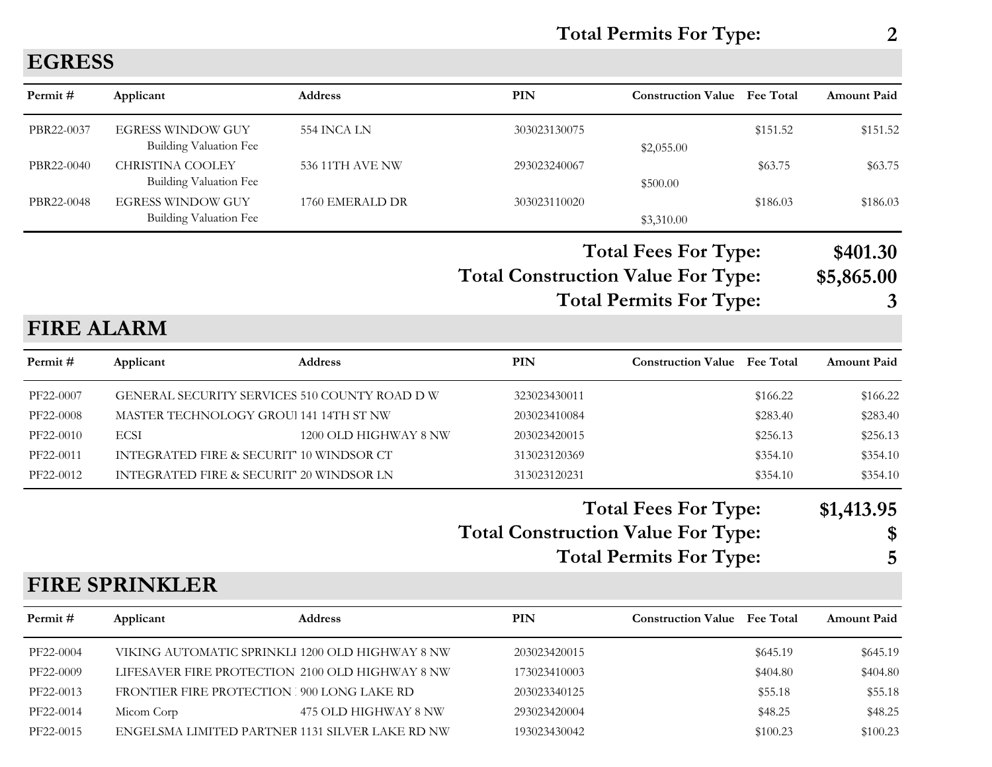**Total Permits For Type: 2**

| Permit#           | Applicant                                                 | Address               | PIN                                       | <b>Construction Value</b> Fee Total                           |                  | <b>Amount Paid</b>          |
|-------------------|-----------------------------------------------------------|-----------------------|-------------------------------------------|---------------------------------------------------------------|------------------|-----------------------------|
| PBR22-0037        | <b>EGRESS WINDOW GUY</b><br><b>Building Valuation Fee</b> | 554 INCA LN           | 303023130075                              | \$2,055.00                                                    | \$151.52         | \$151.52                    |
| PBR22-0040        | <b>CHRISTINA COOLEY</b><br><b>Building Valuation Fee</b>  | 536 11TH AVE NW       | 293023240067                              | \$500.00                                                      | \$63.75          | \$63.75                     |
| PBR22-0048        | <b>EGRESS WINDOW GUY</b><br><b>Building Valuation Fee</b> | 1760 EMERALD DR       | 303023110020                              | \$3,310.00                                                    | \$186.03         | \$186.03                    |
| <b>FIRE ALARM</b> |                                                           |                       | <b>Total Construction Value For Type:</b> | <b>Total Fees For Type:</b><br><b>Total Permits For Type:</b> |                  | \$401.30<br>\$5,865.00<br>3 |
|                   |                                                           |                       |                                           |                                                               |                  |                             |
| Permit#           | Applicant                                                 | <b>Address</b>        | PIN                                       | <b>Construction Value</b>                                     | <b>Fee Total</b> | <b>Amount Paid</b>          |
| PF22-0007         | GENERAL SECURITY SERVICES 510 COUNTY ROAD D W             |                       | 323023430011                              |                                                               | \$166.22         | \$166.22                    |
| PF22-0008         | MASTER TECHNOLOGY GROUI 141 14TH ST NW                    |                       | 203023410084                              |                                                               | \$283.40         | \$283.40                    |
| PF22-0010         | <b>ECSI</b>                                               | 1200 OLD HIGHWAY 8 NW | 203023420015                              |                                                               | \$256.13         | \$256.13                    |
| PF22-0011         | INTEGRATED FIRE & SECURIT" 10 WINDSOR CT                  |                       | 313023120369                              |                                                               | \$354.10         | \$354.10                    |
| PF22-0012         | INTEGRATED FIRE & SECURIT" 20 WINDSOR LN                  |                       | 313023120231                              |                                                               | \$354.10         | \$354.10                    |
|                   |                                                           |                       |                                           | <b>Total Fees For Type:</b>                                   |                  | \$1,413.95                  |
|                   |                                                           |                       | <b>Total Construction Value For Type:</b> |                                                               |                  | \$                          |
|                   |                                                           |                       |                                           | <b>Total Permits For Type:</b>                                |                  | 5                           |
|                   | <b>FIRE SPRINKLER</b>                                     |                       |                                           |                                                               |                  |                             |
| Permit#           | Applicant                                                 | <b>Address</b>        | <b>PIN</b>                                | <b>Construction Value</b> Fee Total                           |                  | <b>Amount Paid</b>          |
| PF22-0004         | VIKING AUTOMATIC SPRINKLI 1200 OLD HIGHWAY 8 NW           |                       | 203023420015                              |                                                               | \$645.19         | \$645.19                    |
| PF22-0009         | LIFESAVER FIRE PROTECTION 2100 OLD HIGHWAY 8 NW           |                       | 173023410003                              |                                                               | \$404.80         | \$404.80                    |
| PF22-0013         | FRONTIER FIRE PROTECTION 900 LONG LAKE RD                 |                       | 203023340125                              |                                                               | \$55.18          | \$55.18                     |
| PF22-0014         | Micom Corp                                                | 475 OLD HIGHWAY 8 NW  | 293023420004                              |                                                               | \$48.25          | \$48.25                     |
| PF22-0015         | ENGELSMA LIMITED PARTNER 1131 SILVER LAKE RD NW           |                       | 193023430042                              |                                                               | \$100.23         | \$100.23                    |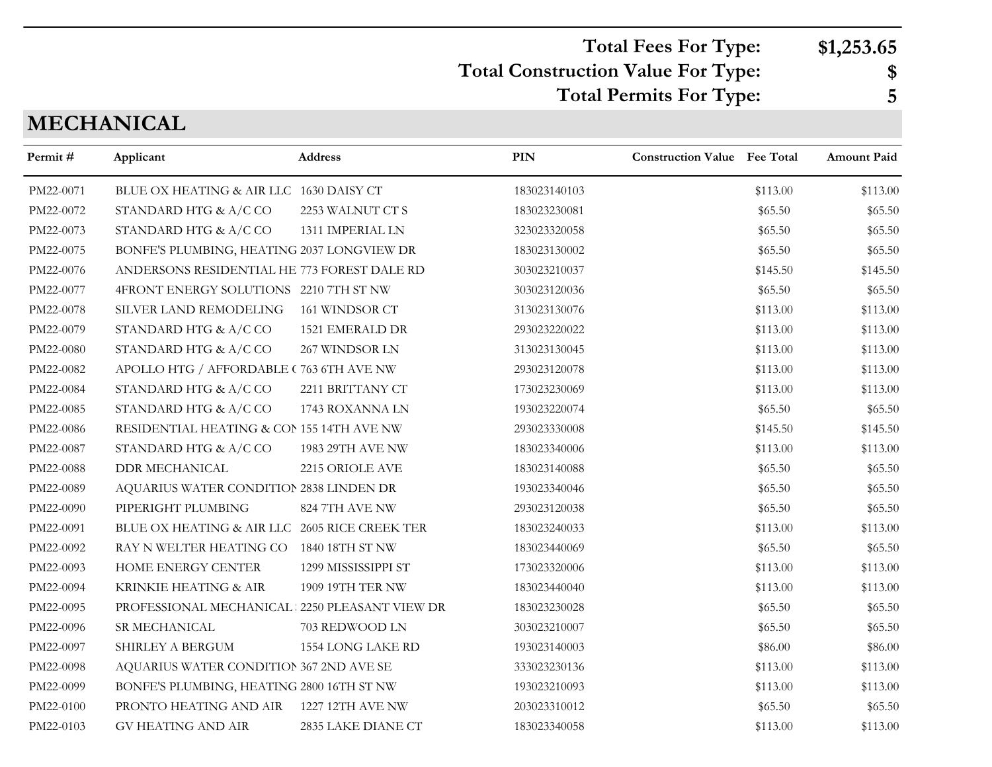### **Total Construction Value For Type: \$ Total Fees For Type: \$1,253.65 Total Permits For Type: 5**

## **MECHANICAL**

| Permit#   | Applicant                                     | <b>Address</b>      | <b>PIN</b>   | <b>Construction Value Fee Total</b> |          | Amount Paid |
|-----------|-----------------------------------------------|---------------------|--------------|-------------------------------------|----------|-------------|
| PM22-0071 | BLUE OX HEATING & AIR LLC 1630 DAISY CT       |                     | 183023140103 |                                     | \$113.00 | \$113.00    |
| PM22-0072 | STANDARD HTG & A/C CO                         | 2253 WALNUT CT S    | 183023230081 |                                     | \$65.50  | \$65.50     |
| PM22-0073 | STANDARD HTG & A/C CO                         | 1311 IMPERIAL LN    | 323023320058 |                                     | \$65.50  | \$65.50     |
| PM22-0075 | BONFE'S PLUMBING, HEATING 2037 LONGVIEW DR    |                     | 183023130002 |                                     | \$65.50  | \$65.50     |
| PM22-0076 | ANDERSONS RESIDENTIAL HE 773 FOREST DALE RD   |                     | 303023210037 |                                     | \$145.50 | \$145.50    |
| PM22-0077 | 4FRONT ENERGY SOLUTIONS 2210 7TH ST NW        |                     | 303023120036 |                                     | \$65.50  | \$65.50     |
| PM22-0078 | SILVER LAND REMODELING                        | 161 WINDSOR CT      | 313023130076 |                                     | \$113.00 | \$113.00    |
| PM22-0079 | STANDARD HTG & A/C CO                         | 1521 EMERALD DR     | 293023220022 |                                     | \$113.00 | \$113.00    |
| PM22-0080 | STANDARD HTG & A/C CO                         | 267 WINDSOR LN      | 313023130045 |                                     | \$113.00 | \$113.00    |
| PM22-0082 | APOLLO HTG / AFFORDABLE (763 6TH AVE NW       |                     | 293023120078 |                                     | \$113.00 | \$113.00    |
| PM22-0084 | STANDARD HTG & A/C CO                         | 2211 BRITTANY CT    | 173023230069 |                                     | \$113.00 | \$113.00    |
| PM22-0085 | STANDARD HTG & A/C CO                         | 1743 ROXANNA LN     | 193023220074 |                                     | \$65.50  | \$65.50     |
| PM22-0086 | RESIDENTIAL HEATING & CON 155 14TH AVE NW     |                     | 293023330008 |                                     | \$145.50 | \$145.50    |
| PM22-0087 | STANDARD HTG & A/C CO                         | 1983 29TH AVE NW    | 183023340006 |                                     | \$113.00 | \$113.00    |
| PM22-0088 | <b>DDR MECHANICAL</b>                         | 2215 ORIOLE AVE     | 183023140088 |                                     | \$65.50  | \$65.50     |
| PM22-0089 | AQUARIUS WATER CONDITION 2838 LINDEN DR       |                     | 193023340046 |                                     | \$65.50  | \$65.50     |
| PM22-0090 | PIPERIGHT PLUMBING                            | 824 7TH AVE NW      | 293023120038 |                                     | \$65.50  | \$65.50     |
| PM22-0091 | BLUE OX HEATING & AIR LLC 2605 RICE CREEK TER |                     | 183023240033 |                                     | \$113.00 | \$113.00    |
| PM22-0092 | RAY N WELTER HEATING CO                       | 1840 18TH ST NW     | 183023440069 |                                     | \$65.50  | \$65.50     |
| PM22-0093 | HOME ENERGY CENTER                            | 1299 MISSISSIPPI ST | 173023320006 |                                     | \$113.00 | \$113.00    |
| PM22-0094 | KRINKIE HEATING & AIR                         | 1909 19TH TER NW    | 183023440040 |                                     | \$113.00 | \$113.00    |
| PM22-0095 | PROFESSIONAL MECHANICAL 2250 PLEASANT VIEW DR |                     | 183023230028 |                                     | \$65.50  | \$65.50     |
| PM22-0096 | SR MECHANICAL                                 | 703 REDWOOD LN      | 303023210007 |                                     | \$65.50  | \$65.50     |
| PM22-0097 | SHIRLEY A BERGUM                              | 1554 LONG LAKE RD   | 193023140003 |                                     | \$86.00  | \$86.00     |
| PM22-0098 | AQUARIUS WATER CONDITION 367 2ND AVE SE       |                     | 333023230136 |                                     | \$113.00 | \$113.00    |
| PM22-0099 | BONFE'S PLUMBING, HEATING 2800 16TH ST NW     |                     | 193023210093 |                                     | \$113.00 | \$113.00    |
| PM22-0100 | PRONTO HEATING AND AIR                        | 1227 12TH AVE NW    | 203023310012 |                                     | \$65.50  | \$65.50     |
| PM22-0103 | <b>GV HEATING AND AIR</b>                     | 2835 LAKE DIANE CT  | 183023340058 |                                     | \$113.00 | \$113.00    |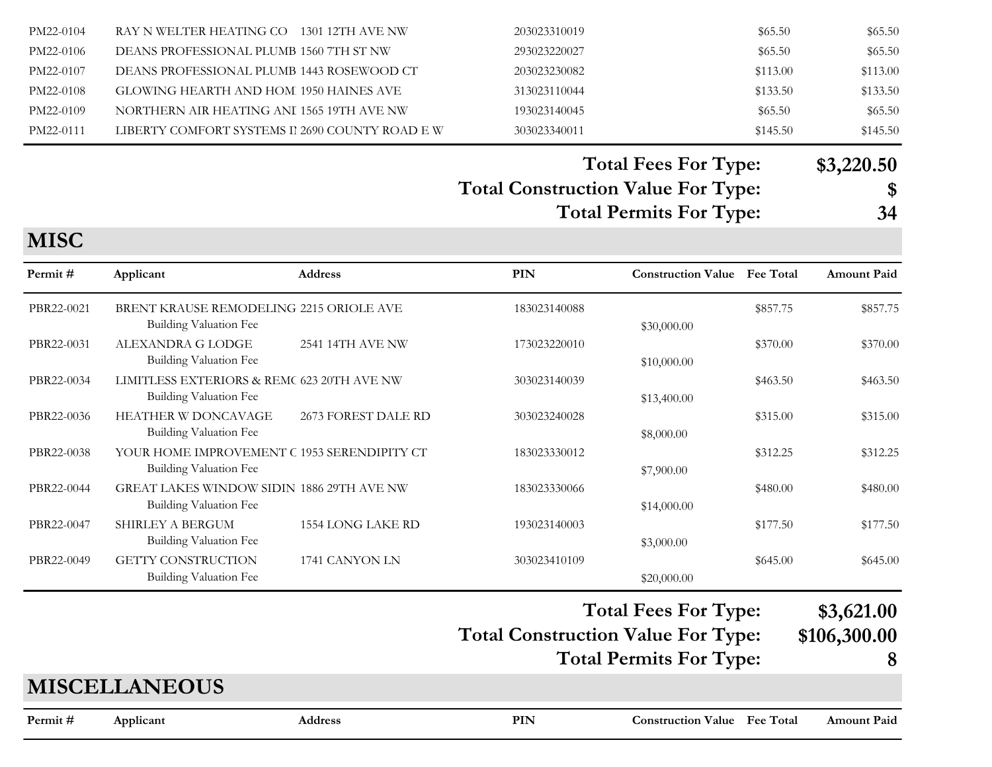| PM22-0104 | RAY N WELTER HEATING CO 1301 12TH AVE NW        | 203023310019 | \$65.50  | \$65.50  |
|-----------|-------------------------------------------------|--------------|----------|----------|
| PM22-0106 | DEANS PROFESSIONAL PLUMB 1560 7TH ST NW         | 293023220027 | \$65.50  | \$65.50  |
| PM22-0107 | DEANS PROFESSIONAL PLUMB 1443 ROSEWOOD CT       | 203023230082 | \$113.00 | \$113.00 |
| PM22-0108 | GLOWING HEARTH AND HOM 1950 HAINES AVE          | 313023110044 | \$133.50 | \$133.50 |
| PM22-0109 | NORTHERN AIR HEATING ANI 1565 19TH AVE NW       | 193023140045 | \$65.50  | \$65.50  |
| PM22-0111 | LIBERTY COMFORT SYSTEMS II 2690 COUNTY ROAD E W | 303023340011 | \$145.50 | \$145.50 |

**Total Fees For Type: \$3,220.50**

#### **Total Construction Value For Type: \$**

**Total Permits For Type: 34**

#### **MISC**

| Permit#    | Applicant                                                                  | <b>Address</b>          | PIN          | <b>Construction Value</b> Fee Total |          | <b>Amount Paid</b> |
|------------|----------------------------------------------------------------------------|-------------------------|--------------|-------------------------------------|----------|--------------------|
| PBR22-0021 | BRENT KRAUSE REMODELING 2215 ORIOLE AVE<br><b>Building Valuation Fee</b>   |                         | 183023140088 | \$30,000.00                         | \$857.75 | \$857.75           |
| PBR22-0031 | ALEXANDRA G LODGE<br><b>Building Valuation Fee</b>                         | <b>2541 14TH AVE NW</b> | 173023220010 | \$10,000.00                         | \$370.00 | \$370.00           |
| PBR22-0034 | LIMITLESS EXTERIORS & REMC 623 20TH AVE NW<br>Building Valuation Fee       |                         | 303023140039 | \$13,400.00                         | \$463.50 | \$463.50           |
| PBR22-0036 | <b>HEATHER W DONCAVAGE</b><br>Building Valuation Fee                       | 2673 FOREST DALE RD     | 303023240028 | \$8,000.00                          | \$315.00 | \$315.00           |
| PBR22-0038 | YOUR HOME IMPROVEMENT C 1953 SERENDIPITY CT<br>Building Valuation Fee      |                         | 183023330012 | \$7,900.00                          | \$312.25 | \$312.25           |
| PBR22-0044 | GREAT LAKES WINDOW SIDIN 1886 29TH AVE NW<br><b>Building Valuation Fee</b> |                         | 183023330066 | \$14,000.00                         | \$480.00 | \$480.00           |
| PBR22-0047 | <b>SHIRLEY A BERGUM</b><br><b>Building Valuation Fee</b>                   | 1554 LONG LAKE RD       | 193023140003 | \$3,000.00                          | \$177.50 | \$177.50           |
| PBR22-0049 | <b>GETTY CONSTRUCTION</b><br>Building Valuation Fee                        | 1741 CANYON LN          | 303023410109 | \$20,000.00                         | \$645.00 | \$645.00           |

#### **Total Construction Value For Type: \$106,300.00 Total Fees For Type: \$3,621.00 Total Permits For Type: 8**

#### **MISCELLANEOUS**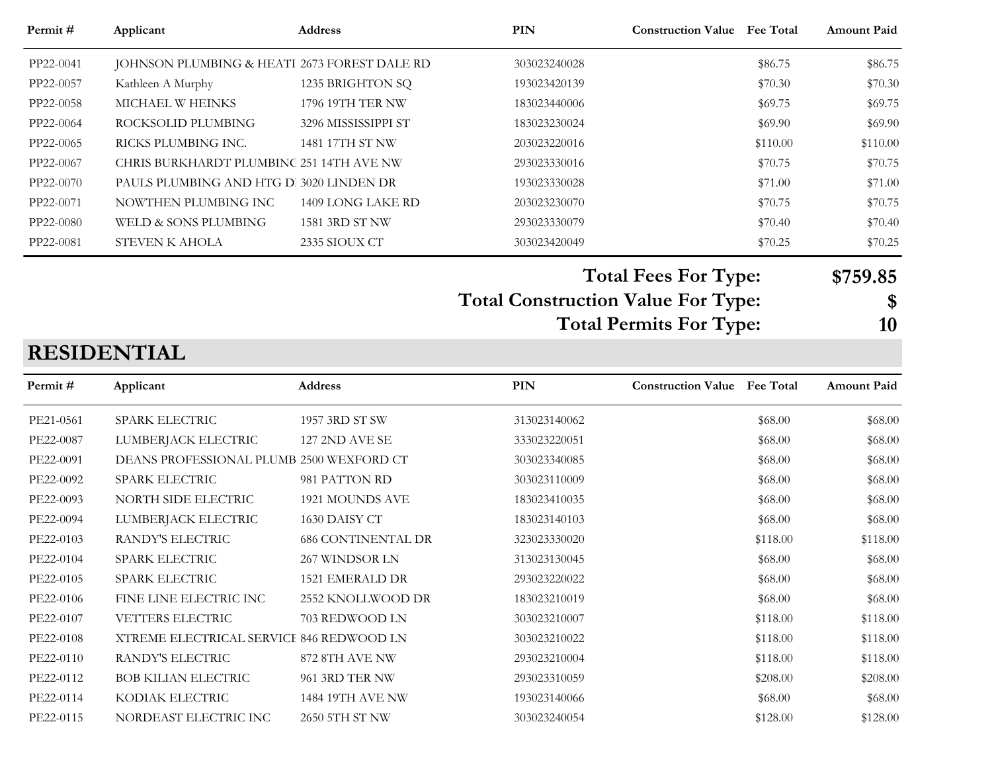| Permit #  | Applicant                                    | <b>Address</b>          | <b>PIN</b>   | <b>Construction Value</b> Fee Total | <b>Amount Paid</b> |
|-----------|----------------------------------------------|-------------------------|--------------|-------------------------------------|--------------------|
| PP22-0041 | JOHNSON PLUMBING & HEATI 2673 FOREST DALE RD |                         | 303023240028 | \$86.75                             | \$86.75            |
| PP22-0057 | Kathleen A Murphy                            | 1235 BRIGHTON SQ        | 193023420139 | \$70.30                             | \$70.30            |
| PP22-0058 | MICHAEL W HEINKS                             | <b>1796 19TH TER NW</b> | 183023440006 | \$69.75                             | \$69.75            |
| PP22-0064 | ROCKSOLID PLUMBING                           | 3296 MISSISSIPPI ST     | 183023230024 | \$69.90                             | \$69.90            |
| PP22-0065 | RICKS PLUMBING INC.                          | 1481 17TH ST NW         | 203023220016 | \$110.00                            | \$110.00           |
| PP22-0067 | CHRIS BURKHARDT PLUMBING 251 14TH AVE NW     |                         | 293023330016 | \$70.75                             | \$70.75            |
| PP22-0070 | PAULS PLUMBING AND HTG D. 3020 LINDEN DR     |                         | 193023330028 | \$71.00                             | \$71.00            |
| PP22-0071 | NOWTHEN PLUMBING INC                         | 1409 LONG LAKE RD       | 203023230070 | \$70.75                             | \$70.75            |
| PP22-0080 | WELD & SONS PLUMBING                         | 1581 3RD ST NW          | 293023330079 | \$70.40                             | \$70.40            |
| PP22-0081 | STEVEN K AHOLA                               | 2335 SIOUX CT           | 303023420049 | \$70.25                             | \$70.25            |

**Total Fees For Type: \$759.85**

**Total Construction Value For Type: \$**

**Total Permits For Type: 10**

## **RESIDENTIAL**

| Permit #  | Applicant                                | <b>Address</b>            | PIN          | <b>Construction Value Fee Total</b> |          | <b>Amount Paid</b> |
|-----------|------------------------------------------|---------------------------|--------------|-------------------------------------|----------|--------------------|
| PE21-0561 | <b>SPARK ELECTRIC</b>                    | 1957 3RD ST SW            | 313023140062 |                                     | \$68.00  | \$68.00            |
| PE22-0087 | LUMBERJACK ELECTRIC                      | <b>127 2ND AVE SE</b>     | 333023220051 |                                     | \$68.00  | \$68.00            |
| PE22-0091 | DEANS PROFESSIONAL PLUMB 2500 WEXFORD CT |                           | 303023340085 |                                     | \$68.00  | \$68.00            |
| PE22-0092 | SPARK ELECTRIC                           | 981 PATTON RD             | 303023110009 |                                     | \$68.00  | \$68.00            |
| PE22-0093 | NORTH SIDE ELECTRIC                      | 1921 MOUNDS AVE           | 183023410035 |                                     | \$68.00  | \$68.00            |
| PE22-0094 | LUMBERJACK ELECTRIC                      | 1630 DAISY CT             | 183023140103 |                                     | \$68.00  | \$68.00            |
| PE22-0103 | RANDY'S ELECTRIC                         | <b>686 CONTINENTAL DR</b> | 323023330020 |                                     | \$118.00 | \$118.00           |
| PE22-0104 | SPARK ELECTRIC                           | 267 WINDSOR LN            | 313023130045 |                                     | \$68.00  | \$68.00            |
| PE22-0105 | SPARK ELECTRIC                           | 1521 EMERALD DR           | 293023220022 |                                     | \$68.00  | \$68.00            |
| PE22-0106 | FINE LINE ELECTRIC INC                   | 2552 KNOLLWOOD DR         | 183023210019 |                                     | \$68.00  | \$68.00            |
| PE22-0107 | <b>VETTERS ELECTRIC</b>                  | 703 REDWOOD LN            | 303023210007 |                                     | \$118.00 | \$118.00           |
| PE22-0108 | XTREME ELECTRICAL SERVICE 846 REDWOOD LN |                           | 303023210022 |                                     | \$118.00 | \$118.00           |
| PE22-0110 | RANDY'S ELECTRIC                         | 872 8TH AVE NW            | 293023210004 |                                     | \$118.00 | \$118.00           |
| PE22-0112 | <b>BOB KILIAN ELECTRIC</b>               | 961 3RD TER NW            | 293023310059 |                                     | \$208.00 | \$208.00           |
| PE22-0114 | KODIAK ELECTRIC                          | 1484 19TH AVE NW          | 193023140066 |                                     | \$68.00  | \$68.00            |
| PE22-0115 | NORDEAST ELECTRIC INC                    | 2650 5TH ST NW            | 303023240054 |                                     | \$128.00 | \$128.00           |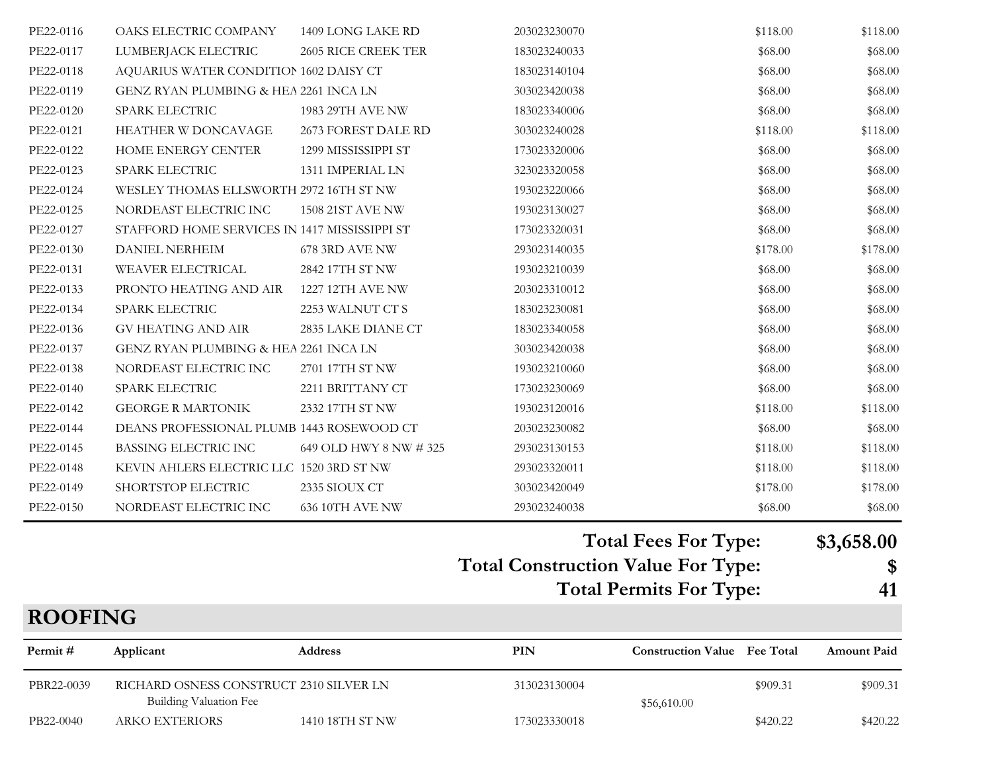|           |                                               |                        | <b>Total Permits For Type:</b>            |                             | 41               |
|-----------|-----------------------------------------------|------------------------|-------------------------------------------|-----------------------------|------------------|
|           |                                               |                        | <b>Total Construction Value For Type:</b> | <b>Total Fees For Type:</b> | \$3,658.00<br>\$ |
|           |                                               |                        |                                           |                             |                  |
| PE22-0150 | NORDEAST ELECTRIC INC                         | 636 10TH AVE NW        | 293023240038                              | \$68.00                     | \$68.00          |
| PE22-0149 | SHORTSTOP ELECTRIC                            | 2335 SIOUX CT          | 303023420049                              | \$178.00                    | \$178.00         |
| PE22-0148 | KEVIN AHLERS ELECTRIC LLC 1520 3RD ST NW      |                        | 293023320011                              | \$118.00                    | \$118.00         |
| PE22-0145 | BASSING ELECTRIC INC                          | 649 OLD HWY 8 NW # 325 | 293023130153                              | \$118.00                    | \$118.00         |
| PE22-0144 | DEANS PROFESSIONAL PLUMB 1443 ROSEWOOD CT     |                        | 203023230082                              | \$68.00                     | \$68.00          |
| PE22-0142 | <b>GEORGE R MARTONIK</b>                      | 2332 17TH ST NW        | 193023120016                              | \$118.00                    | \$118.00         |
| PE22-0140 | SPARK ELECTRIC                                | 2211 BRITTANY CT       | 173023230069                              | \$68.00                     | \$68.00          |
| PE22-0138 | NORDEAST ELECTRIC INC                         | 2701 17TH ST NW        | 193023210060                              | \$68.00                     | \$68.00          |
| PE22-0137 | GENZ RYAN PLUMBING & HEA 2261 INCA LN         |                        | 303023420038                              | \$68.00                     | \$68.00          |
| PE22-0136 | <b>GV HEATING AND AIR</b>                     | 2835 LAKE DIANE CT     | 183023340058                              | \$68.00                     | \$68.00          |
| PE22-0134 | SPARK ELECTRIC                                | 2253 WALNUT CT S       | 183023230081                              | \$68.00                     | \$68.00          |
| PE22-0133 | PRONTO HEATING AND AIR                        | 1227 12TH AVE NW       | 203023310012                              | \$68.00                     | \$68.00          |
| PE22-0131 | WEAVER ELECTRICAL                             | 2842 17TH ST NW        | 193023210039                              | \$68.00                     | \$68.00          |
| PE22-0130 | <b>DANIEL NERHEIM</b>                         | 678 3RD AVE NW         | 293023140035                              | \$178.00                    | \$178.00         |
| PE22-0127 | STAFFORD HOME SERVICES IN 1417 MISSISSIPPI ST |                        | 173023320031                              | \$68.00                     | \$68.00          |
| PE22-0125 | NORDEAST ELECTRIC INC                         | 1508 21ST AVE NW       | 193023130027                              | \$68.00                     | \$68.00          |
| PE22-0124 | WESLEY THOMAS ELLSWORTH 2972 16TH ST NW       |                        | 193023220066                              | \$68.00                     | \$68.00          |
| PE22-0123 | <b>SPARK ELECTRIC</b>                         | 1311 IMPERIAL LN       | 323023320058                              | \$68.00                     | \$68.00          |
| PE22-0122 | HOME ENERGY CENTER                            | 1299 MISSISSIPPI ST    | 173023320006                              | \$68.00                     | \$68.00          |
| PE22-0121 | HEATHER W DONCAVAGE                           | 2673 FOREST DALE RD    | 303023240028                              | \$118.00                    | \$118.00         |
| PE22-0120 | SPARK ELECTRIC                                | 1983 29TH AVE NW       | 183023340006                              | \$68.00                     | \$68.00          |
| PE22-0119 | GENZ RYAN PLUMBING & HEA 2261 INCA LN         |                        | 303023420038                              | \$68.00                     | \$68.00          |
| PE22-0118 | AQUARIUS WATER CONDITION 1602 DAISY CT        |                        | 183023140104                              | \$68.00                     | \$68.00          |
| PE22-0117 | LUMBERJACK ELECTRIC                           | 2605 RICE CREEK TER    | 183023240033                              | \$68.00                     | \$68.00          |
| PE22-0116 | OAKS ELECTRIC COMPANY                         | 1409 LONG LAKE RD      | 203023230070                              | \$118.00                    | \$118.00         |

| <b>ROOFING</b> |                        |                                         |              |                                     |          |                    |
|----------------|------------------------|-----------------------------------------|--------------|-------------------------------------|----------|--------------------|
| Permit #       | Applicant              | <b>Address</b>                          | PIN          | <b>Construction Value</b> Fee Total |          | <b>Amount Paid</b> |
| PBR22-0039     | Building Valuation Fee | RICHARD OSNESS CONSTRUCT 2310 SILVER LN | 313023130004 | \$56,610.00                         | \$909.31 | \$909.31           |
| PB22-0040      | <b>ARKO EXTERIORS</b>  | 1410 18TH ST NW                         | 173023330018 |                                     | \$420.22 | \$420.22           |

m.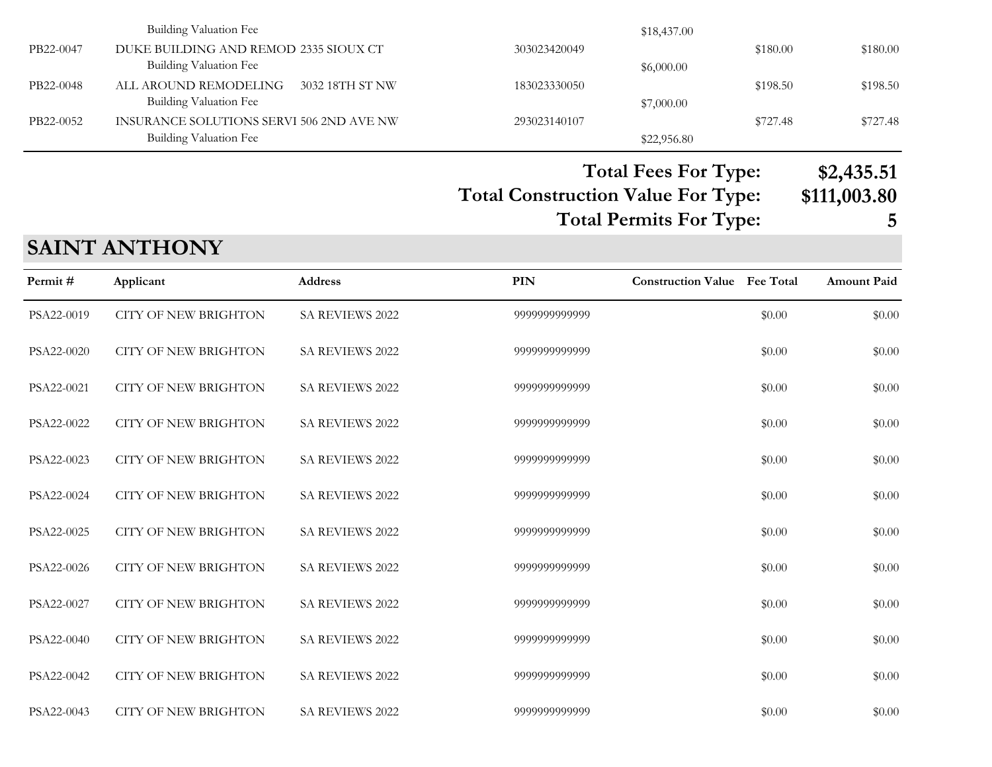|           |                                          | $\overline{\phantom{0}}$ | $\overline{\phantom{a}}$<br>$\overline{\phantom{0}}$<br>$\overline{\phantom{0}}$ |          | ** *** <b>*</b> * |
|-----------|------------------------------------------|--------------------------|----------------------------------------------------------------------------------|----------|-------------------|
|           | Building Valuation Fee                   |                          | \$22,956.80                                                                      |          |                   |
| PB22-0052 | INSURANCE SOLUTIONS SERVI 506 2ND AVE NW | 293023140107             |                                                                                  | \$727.48 | \$727.48          |
|           | Building Valuation Fee                   |                          | \$7,000.00                                                                       |          |                   |
| PB22-0048 | ALL AROUND REMODELING<br>3032 18TH ST NW | 183023330050             |                                                                                  | \$198.50 | \$198.50          |
|           | Building Valuation Fee                   |                          | \$6,000.00                                                                       |          |                   |
| PB22-0047 | DUKE BUILDING AND REMOD 2335 SIOUX CT    | 303023420049             |                                                                                  | \$180.00 | \$180.00          |
|           | Building Valuation Fee                   |                          | \$18,437.00                                                                      |          |                   |

#### **Total Construction Value For Type: \$111,003.80 Total Fees For Type: \$2,435.51 Total Permits For Type: 5**

## **SAINT ANTHONY**

| Permit#    | Applicant                   | <b>Address</b>         | PIN           | <b>Construction Value</b> Fee Total |        | <b>Amount Paid</b> |
|------------|-----------------------------|------------------------|---------------|-------------------------------------|--------|--------------------|
| PSA22-0019 | <b>CITY OF NEW BRIGHTON</b> | SA REVIEWS 2022        | 9999999999999 |                                     | \$0.00 | \$0.00             |
| PSA22-0020 | <b>CITY OF NEW BRIGHTON</b> | SA REVIEWS 2022        | 9999999999999 |                                     | \$0.00 | \$0.00             |
| PSA22-0021 | <b>CITY OF NEW BRIGHTON</b> | SA REVIEWS 2022        | 9999999999999 |                                     | \$0.00 | \$0.00             |
| PSA22-0022 | <b>CITY OF NEW BRIGHTON</b> | <b>SA REVIEWS 2022</b> | 9999999999999 |                                     | \$0.00 | \$0.00             |
| PSA22-0023 | <b>CITY OF NEW BRIGHTON</b> | <b>SA REVIEWS 2022</b> | 9999999999999 |                                     | \$0.00 | \$0.00             |
| PSA22-0024 | <b>CITY OF NEW BRIGHTON</b> | <b>SA REVIEWS 2022</b> | 9999999999999 |                                     | \$0.00 | \$0.00             |
| PSA22-0025 | <b>CITY OF NEW BRIGHTON</b> | <b>SA REVIEWS 2022</b> | 9999999999999 |                                     | \$0.00 | \$0.00             |
| PSA22-0026 | <b>CITY OF NEW BRIGHTON</b> | SA REVIEWS 2022        | 9999999999999 |                                     | \$0.00 | \$0.00             |
| PSA22-0027 | <b>CITY OF NEW BRIGHTON</b> | SA REVIEWS 2022        | 9999999999999 |                                     | \$0.00 | \$0.00             |
| PSA22-0040 | <b>CITY OF NEW BRIGHTON</b> | SA REVIEWS 2022        | 9999999999999 |                                     | \$0.00 | \$0.00             |
| PSA22-0042 | <b>CITY OF NEW BRIGHTON</b> | SA REVIEWS 2022        | 9999999999999 |                                     | \$0.00 | \$0.00             |
| PSA22-0043 | <b>CITY OF NEW BRIGHTON</b> | <b>SA REVIEWS 2022</b> | 9999999999999 |                                     | \$0.00 | \$0.00             |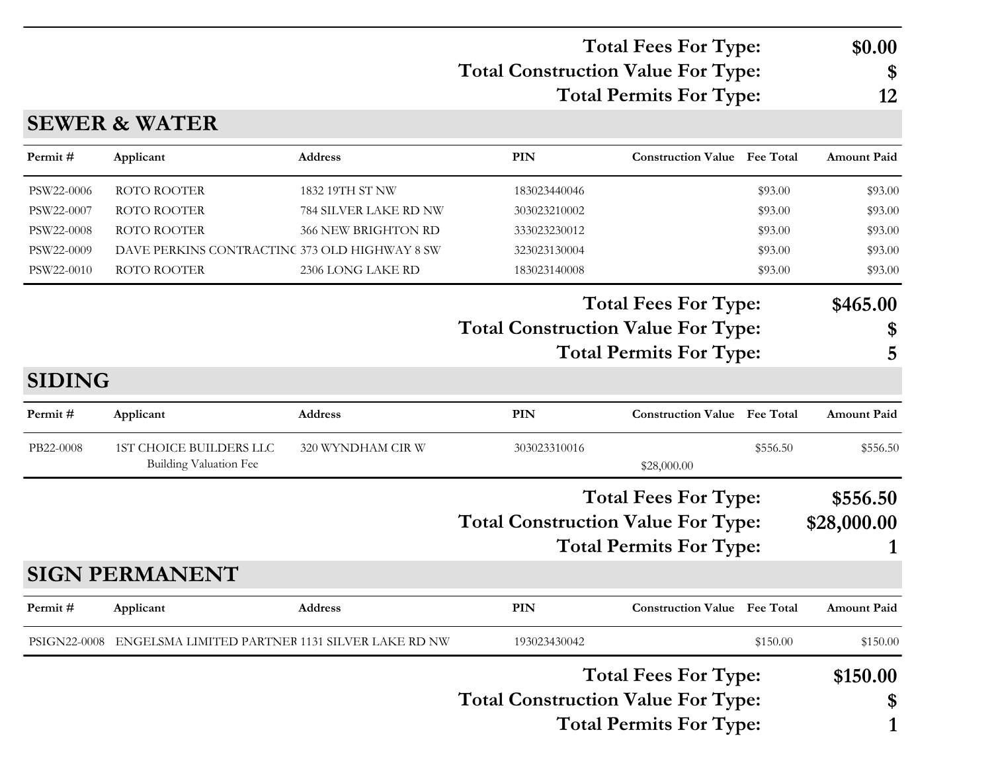### **Total Construction Value For Type: \$ Total Fees For Type: \$0.00 Total Permits For Type: 12**

## **SEWER & WATER**

| Permit#       | Applicant                                                | <b>Address</b>        | <b>PIN</b>   | <b>Construction Value</b> Fee Total       |                  | <b>Amount Paid</b> |
|---------------|----------------------------------------------------------|-----------------------|--------------|-------------------------------------------|------------------|--------------------|
| PSW22-0006    | ROTO ROOTER                                              | 1832 19TH ST NW       | 183023440046 |                                           | \$93.00          | \$93.00            |
| PSW22-0007    | <b>ROTO ROOTER</b>                                       | 784 SILVER LAKE RD NW | 303023210002 |                                           | \$93.00          | \$93.00            |
| PSW22-0008    | ROTO ROOTER                                              | 366 NEW BRIGHTON RD   | 333023230012 |                                           | \$93.00          | \$93.00            |
| PSW22-0009    | DAVE PERKINS CONTRACTINC 373 OLD HIGHWAY 8 SW            |                       | 323023130004 |                                           | \$93.00          | \$93.00            |
| PSW22-0010    | ROTO ROOTER                                              | 2306 LONG LAKE RD     | 183023140008 |                                           | \$93.00          | \$93.00            |
|               |                                                          |                       |              | <b>Total Fees For Type:</b>               |                  | \$465.00           |
|               |                                                          |                       |              | <b>Total Construction Value For Type:</b> |                  | \$                 |
|               |                                                          |                       |              | <b>Total Permits For Type:</b>            |                  | 5                  |
| <b>SIDING</b> |                                                          |                       |              |                                           |                  |                    |
| Permit#       | Applicant                                                | Address               | <b>PIN</b>   | <b>Construction Value</b>                 | <b>Fee Total</b> | <b>Amount Paid</b> |
| PB22-0008     | <b>1ST CHOICE BUILDERS LLC</b><br>Building Valuation Fee | 320 WYNDHAM CIR W     | 303023310016 | \$28,000.00                               | \$556.50         | \$556.50           |
|               |                                                          |                       |              | <b>Total Fees For Type:</b>               |                  | \$556.50           |
|               |                                                          |                       |              | <b>Total Construction Value For Type:</b> |                  | \$28,000.00        |
|               |                                                          |                       |              | <b>Total Permits For Type:</b>            |                  |                    |
|               | <b>SIGN PERMANENT</b>                                    |                       |              |                                           |                  |                    |
| Permit#       | Applicant                                                | Address               | <b>PIN</b>   | <b>Construction Value</b> Fee Total       |                  | <b>Amount Paid</b> |
| PSIGN22-0008  | ENGELSMA LIMITED PARTNER 1131 SILVER LAKE RD NW          |                       | 193023430042 |                                           | \$150.00         | \$150.00           |
|               |                                                          |                       |              | <b>Total Fees For Type:</b>               |                  | \$150.00           |
|               |                                                          |                       |              | <b>Total Construction Value For Type:</b> |                  | \$                 |
|               |                                                          |                       |              | <b>Total Permits For Type:</b>            |                  | 1                  |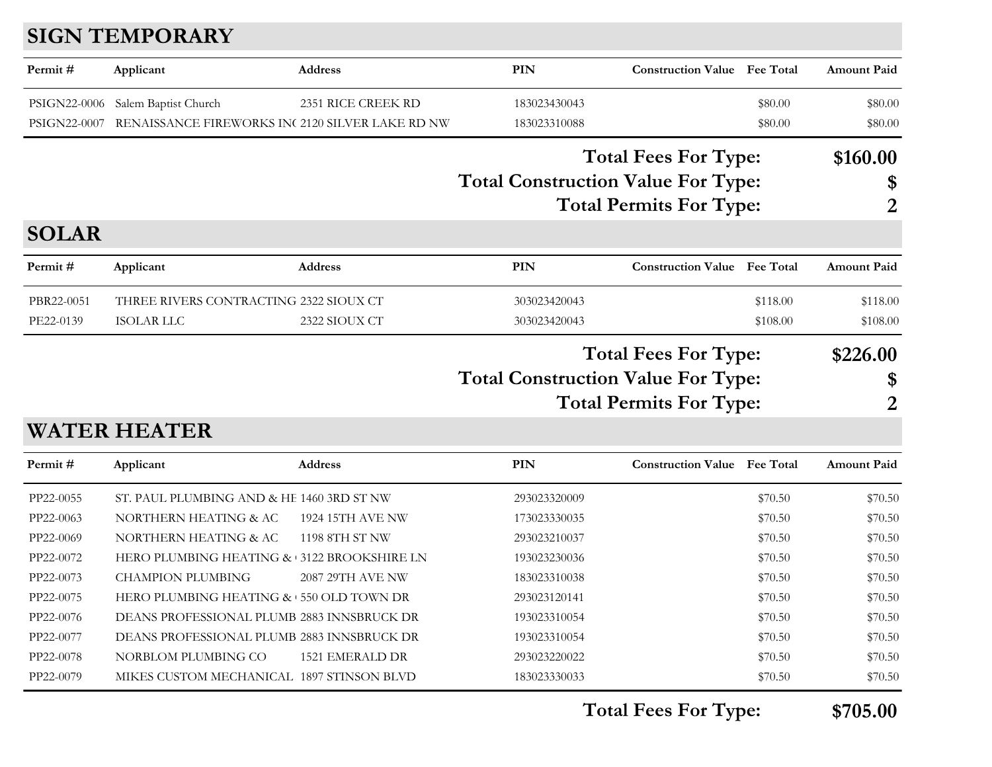# **SIGN TEMPORARY**

| Permit#      | Applicant                                        | <b>Address</b>     | <b>PIN</b>                                | <b>Construction Value</b> Fee Total |                  | <b>Amount Paid</b> |
|--------------|--------------------------------------------------|--------------------|-------------------------------------------|-------------------------------------|------------------|--------------------|
| PSIGN22-0006 | Salem Baptist Church                             | 2351 RICE CREEK RD | 183023430043                              |                                     | \$80.00          | \$80.00            |
| PSIGN22-0007 | RENAISSANCE FIREWORKS INC 2120 SILVER LAKE RD NW |                    | 183023310088                              |                                     | \$80.00          | \$80.00            |
|              |                                                  |                    |                                           | <b>Total Fees For Type:</b>         |                  | \$160.00           |
|              |                                                  |                    | <b>Total Construction Value For Type:</b> |                                     |                  | \$                 |
|              |                                                  |                    |                                           | <b>Total Permits For Type:</b>      |                  | 2                  |
| <b>SOLAR</b> |                                                  |                    |                                           |                                     |                  |                    |
| Permit#      | Applicant                                        | <b>Address</b>     | PIN                                       | <b>Construction Value</b>           | <b>Fee Total</b> | <b>Amount Paid</b> |
| PBR22-0051   | THREE RIVERS CONTRACTING 2322 SIOUX CT           |                    | 303023420043                              |                                     | \$118.00         | \$118.00           |
| PE22-0139    | <b>ISOLAR LLC</b>                                | 2322 SIOUX CT      | 303023420043                              |                                     | \$108.00         | \$108.00           |
|              |                                                  |                    |                                           | <b>Total Fees For Type:</b>         |                  | \$226.00           |
|              |                                                  |                    | <b>Total Construction Value For Type:</b> |                                     |                  | \$                 |
|              |                                                  |                    |                                           | <b>Total Permits For Type:</b>      |                  | 2                  |
|              | <b>WATER HEATER</b>                              |                    |                                           |                                     |                  |                    |
| Permit#      | Applicant                                        | <b>Address</b>     | PIN                                       | <b>Construction Value</b> Fee Total |                  | <b>Amount Paid</b> |

| PP22-0055 | ST. PAUL PLUMBING AND & HE 1460 3RD ST NW    |                  | 293023320009 | \$70.50 | \$70.50 |
|-----------|----------------------------------------------|------------------|--------------|---------|---------|
| PP22-0063 | NORTHERN HEATING & AC                        | 1924 15TH AVE NW | 173023330035 | \$70.50 | \$70.50 |
| PP22-0069 | NORTHERN HEATING & AC                        | 1198 8TH ST NW   | 293023210037 | \$70.50 | \$70.50 |
| PP22-0072 | HERO PLUMBING HEATING & 3122 BROOKSHIRE LN   |                  | 193023230036 | \$70.50 | \$70.50 |
| PP22-0073 | <b>CHAMPION PLUMBING</b>                     | 2087 29TH AVE NW | 183023310038 | \$70.50 | \$70.50 |
| PP22-0075 | HERO PLUMBING HEATING $\&$ + 550 OLD TOWN DR |                  | 293023120141 | \$70.50 | \$70.50 |
| PP22-0076 | DEANS PROFESSIONAL PLUMB 2883 INNSBRUCK DR   |                  | 193023310054 | \$70.50 | \$70.50 |
| PP22-0077 | DEANS PROFESSIONAL PLUMB 2883 INNSBRUCK DR   |                  | 193023310054 | \$70.50 | \$70.50 |
| PP22-0078 | NORBLOM PLUMBING CO                          | 1521 EMERALD DR  | 293023220022 | \$70.50 | \$70.50 |
| PP22-0079 | MIKES CUSTOM MECHANICAL 1897 STINSON BLVD    |                  | 183023330033 | \$70.50 | \$70.50 |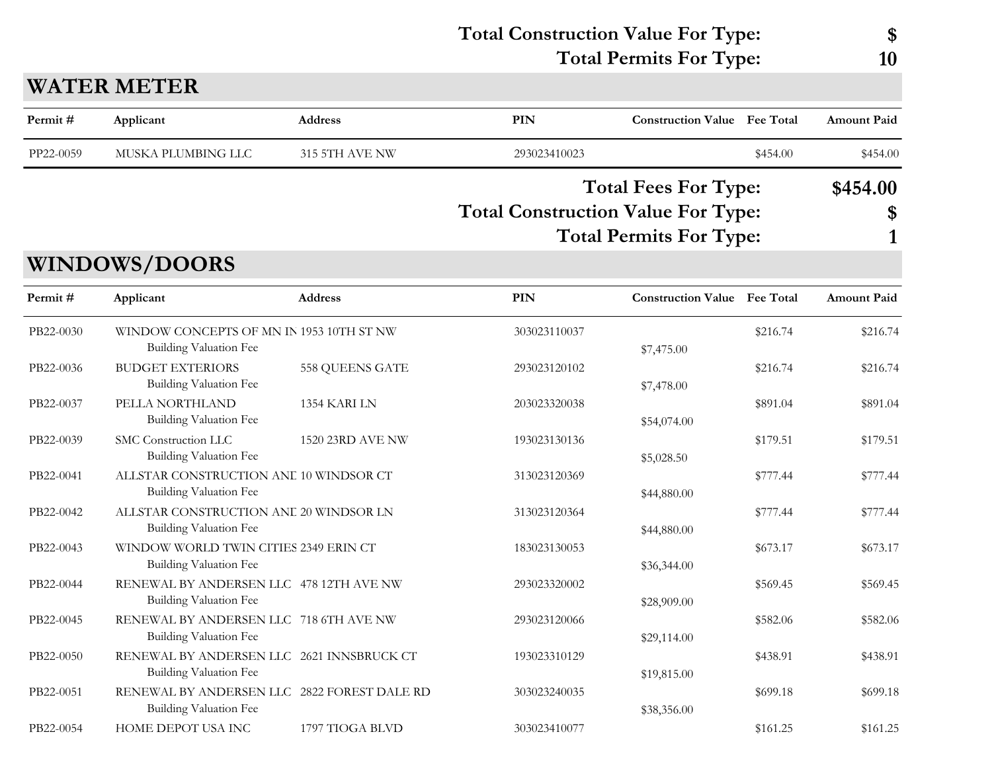| <b>Total Construction Value For Type:</b> |    |
|-------------------------------------------|----|
| <b>Total Permits For Type:</b>            | 10 |

## **WATER METER**

| Permit#   | Applicant                                                                  | <b>Address</b>   | PIN                                       | <b>Construction Value Fee Total</b>                           |          | Amount Paid        |
|-----------|----------------------------------------------------------------------------|------------------|-------------------------------------------|---------------------------------------------------------------|----------|--------------------|
| PP22-0059 | MUSKA PLUMBING LLC                                                         | 315 5TH AVE NW   | 293023410023                              |                                                               | \$454.00 | \$454.00           |
|           | <b>WINDOWS/DOORS</b>                                                       |                  | <b>Total Construction Value For Type:</b> | <b>Total Fees For Type:</b><br><b>Total Permits For Type:</b> |          | \$454.00<br>\$     |
| Permit#   | Applicant                                                                  | <b>Address</b>   | PIN                                       | <b>Construction Value Fee Total</b>                           |          | <b>Amount Paid</b> |
| PB22-0030 | WINDOW CONCEPTS OF MN IN 1953 10TH ST NW<br><b>Building Valuation Fee</b>  |                  | 303023110037                              | \$7,475.00                                                    | \$216.74 | \$216.74           |
| PB22-0036 | <b>BUDGET EXTERIORS</b><br>Building Valuation Fee                          | 558 QUEENS GATE  | 293023120102                              | \$7,478.00                                                    | \$216.74 | \$216.74           |
| PB22-0037 | PELLA NORTHLAND<br><b>Building Valuation Fee</b>                           | 1354 KARI LN     | 203023320038                              | \$54,074.00                                                   | \$891.04 | \$891.04           |
| PB22-0039 | SMC Construction LLC<br><b>Building Valuation Fee</b>                      | 1520 23RD AVE NW | 193023130136                              | \$5,028.50                                                    | \$179.51 | \$179.51           |
| PB22-0041 | ALLSTAR CONSTRUCTION ANE 10 WINDSOR CT<br>Building Valuation Fee           |                  | 313023120369                              | \$44,880.00                                                   | \$777.44 | \$777.44           |
| PB22-0042 | ALLSTAR CONSTRUCTION ANE 20 WINDSOR LN<br>Building Valuation Fee           |                  | 313023120364                              | \$44,880.00                                                   | \$777.44 | \$777.44           |
| PB22-0043 | WINDOW WORLD TWIN CITIES 2349 ERIN CT<br>Building Valuation Fee            |                  | 183023130053                              | \$36,344.00                                                   | \$673.17 | \$673.17           |
| PB22-0044 | RENEWAL BY ANDERSEN LLC 478 12TH AVE NW<br>Building Valuation Fee          |                  | 293023320002                              | \$28,909.00                                                   | \$569.45 | \$569.45           |
| PB22-0045 | RENEWAL BY ANDERSEN LLC 718 6TH AVE NW<br>Building Valuation Fee           |                  | 293023120066                              | \$29,114.00                                                   | \$582.06 | \$582.06           |
| PB22-0050 | RENEWAL BY ANDERSEN LLC 2621 INNSBRUCK CT<br><b>Building Valuation Fee</b> |                  | 193023310129                              | \$19,815.00                                                   | \$438.91 | \$438.91           |
| PB22-0051 | RENEWAL BY ANDERSEN LLC 2822 FOREST DALE RD<br>Building Valuation Fee      |                  | 303023240035                              | \$38,356.00                                                   | \$699.18 | \$699.18           |
| PB22-0054 | <b>HOME DEPOT USA INC</b>                                                  | 1797 TIOGA BLVD  | 303023410077                              |                                                               | \$161.25 | \$161.25           |